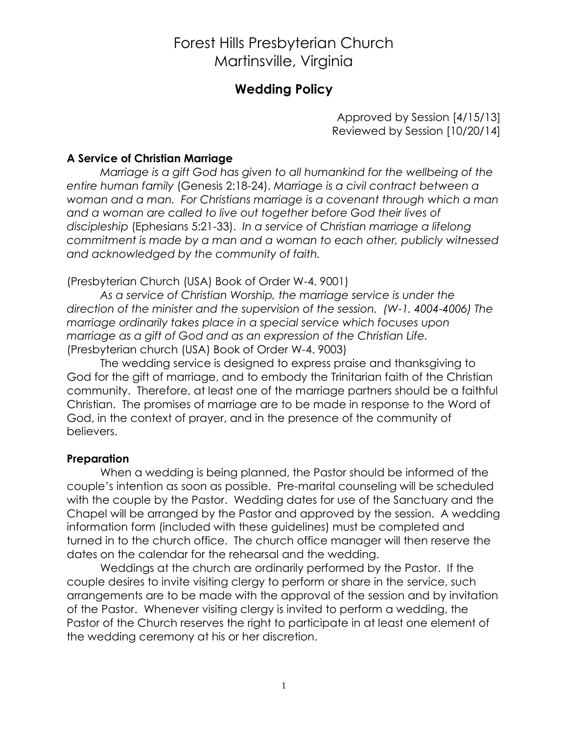### **Wedding Policy**

Approved by Session [4/15/13] Reviewed by Session [10/20/14]

#### **A Service of Christian Marriage**

*Marriage is a gift God has given to all humankind for the wellbeing of the entire human family* (Genesis 2:18-24). *Marriage is a civil contract between a woman and a man. For Christians marriage is a covenant through which a man and a woman are called to live out together before God their lives of discipleship* (Ephesians 5:21-33). *In a service of Christian marriage a lifelong commitment is made by a man and a woman to each other, publicly witnessed and acknowledged by the community of faith.*

(Presbyterian Church (USA) Book of Order W-4. 9001)

*As a service of Christian Worship, the marriage service is under the direction of the minister and the supervision of the session. (W-1. 4004-4006) The marriage ordinarily takes place in a special service which focuses upon marriage as a gift of God and as an expression of the Christian Life.* (Presbyterian church (USA) Book of Order W-4. 9003)

The wedding service is designed to express praise and thanksgiving to God for the gift of marriage, and to embody the Trinitarian faith of the Christian community. Therefore, at least one of the marriage partners should be a faithful Christian. The promises of marriage are to be made in response to the Word of God, in the context of prayer, and in the presence of the community of believers.

#### **Preparation**

When a wedding is being planned, the Pastor should be informed of the couple's intention as soon as possible. Pre-marital counseling will be scheduled with the couple by the Pastor. Wedding dates for use of the Sanctuary and the Chapel will be arranged by the Pastor and approved by the session. A wedding information form (included with these guidelines) must be completed and turned in to the church office. The church office manager will then reserve the dates on the calendar for the rehearsal and the wedding.

Weddings at the church are ordinarily performed by the Pastor. If the couple desires to invite visiting clergy to perform or share in the service, such arrangements are to be made with the approval of the session and by invitation of the Pastor. Whenever visiting clergy is invited to perform a wedding, the Pastor of the Church reserves the right to participate in at least one element of the wedding ceremony at his or her discretion.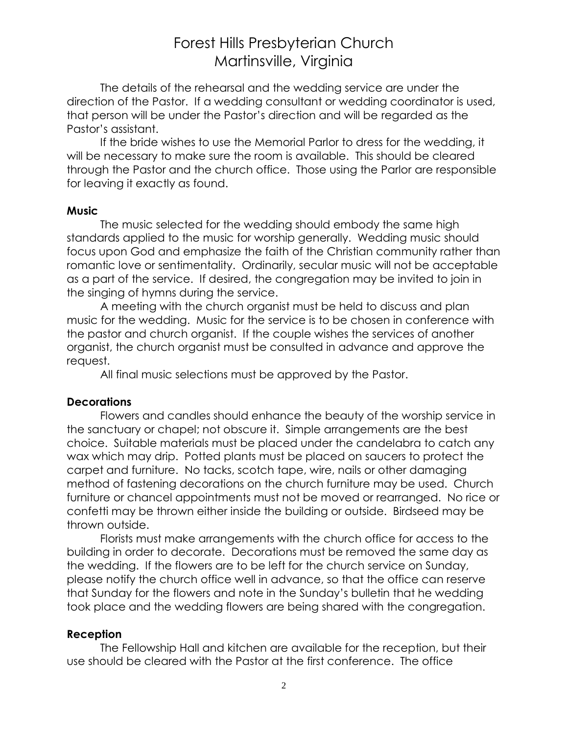The details of the rehearsal and the wedding service are under the direction of the Pastor. If a wedding consultant or wedding coordinator is used, that person will be under the Pastor's direction and will be regarded as the Pastor's assistant.

If the bride wishes to use the Memorial Parlor to dress for the wedding, it will be necessary to make sure the room is available. This should be cleared through the Pastor and the church office. Those using the Parlor are responsible for leaving it exactly as found.

#### **Music**

The music selected for the wedding should embody the same high standards applied to the music for worship generally. Wedding music should focus upon God and emphasize the faith of the Christian community rather than romantic love or sentimentality. Ordinarily, secular music will not be acceptable as a part of the service. If desired, the congregation may be invited to join in the singing of hymns during the service.

A meeting with the church organist must be held to discuss and plan music for the wedding. Music for the service is to be chosen in conference with the pastor and church organist. If the couple wishes the services of another organist, the church organist must be consulted in advance and approve the request.

All final music selections must be approved by the Pastor.

#### **Decorations**

Flowers and candles should enhance the beauty of the worship service in the sanctuary or chapel; not obscure it. Simple arrangements are the best choice. Suitable materials must be placed under the candelabra to catch any wax which may drip. Potted plants must be placed on saucers to protect the carpet and furniture. No tacks, scotch tape, wire, nails or other damaging method of fastening decorations on the church furniture may be used. Church furniture or chancel appointments must not be moved or rearranged. No rice or confetti may be thrown either inside the building or outside. Birdseed may be thrown outside.

Florists must make arrangements with the church office for access to the building in order to decorate. Decorations must be removed the same day as the wedding. If the flowers are to be left for the church service on Sunday, please notify the church office well in advance, so that the office can reserve that Sunday for the flowers and note in the Sunday's bulletin that he wedding took place and the wedding flowers are being shared with the congregation.

#### **Reception**

The Fellowship Hall and kitchen are available for the reception, but their use should be cleared with the Pastor at the first conference. The office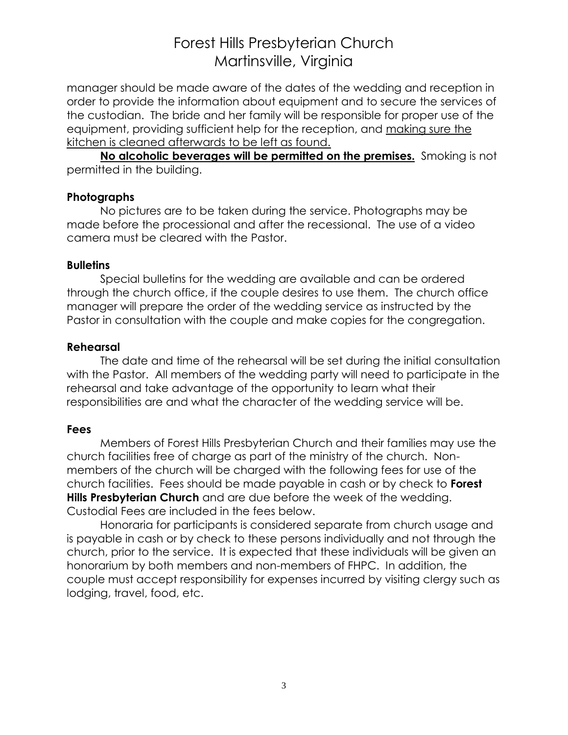manager should be made aware of the dates of the wedding and reception in order to provide the information about equipment and to secure the services of the custodian. The bride and her family will be responsible for proper use of the equipment, providing sufficient help for the reception, and making sure the kitchen is cleaned afterwards to be left as found.

**No alcoholic beverages will be permitted on the premises.** Smoking is not permitted in the building.

#### **Photographs**

No pictures are to be taken during the service. Photographs may be made before the processional and after the recessional. The use of a video camera must be cleared with the Pastor.

#### **Bulletins**

Special bulletins for the wedding are available and can be ordered through the church office, if the couple desires to use them. The church office manager will prepare the order of the wedding service as instructed by the Pastor in consultation with the couple and make copies for the congregation.

#### **Rehearsal**

The date and time of the rehearsal will be set during the initial consultation with the Pastor. All members of the wedding party will need to participate in the rehearsal and take advantage of the opportunity to learn what their responsibilities are and what the character of the wedding service will be.

#### **Fees**

Members of Forest Hills Presbyterian Church and their families may use the church facilities free of charge as part of the ministry of the church. Nonmembers of the church will be charged with the following fees for use of the church facilities. Fees should be made payable in cash or by check to **Forest Hills Presbyterian Church** and are due before the week of the wedding. Custodial Fees are included in the fees below.

Honoraria for participants is considered separate from church usage and is payable in cash or by check to these persons individually and not through the church, prior to the service. It is expected that these individuals will be given an honorarium by both members and non-members of FHPC. In addition, the couple must accept responsibility for expenses incurred by visiting clergy such as lodging, travel, food, etc.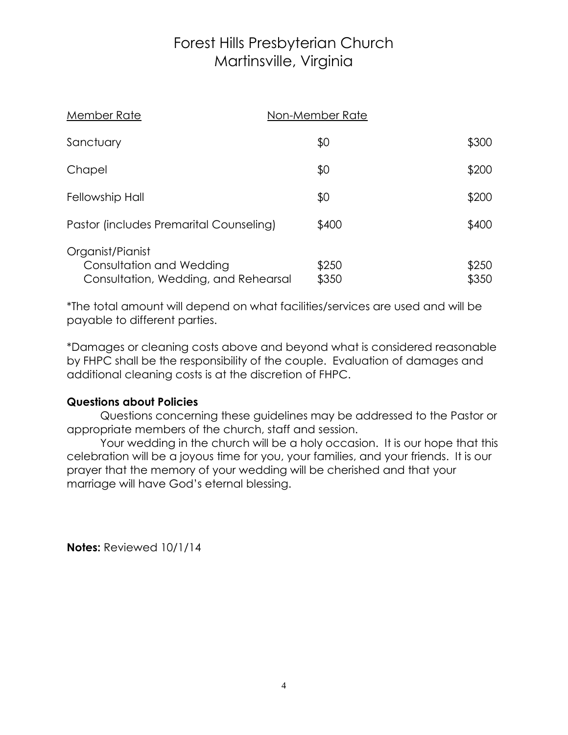| Member Rate                                                                          | Non-Member Rate |                |
|--------------------------------------------------------------------------------------|-----------------|----------------|
| Sanctuary                                                                            | \$0             | \$300          |
| Chapel                                                                               | \$0             | \$200          |
| Fellowship Hall                                                                      | \$0             | \$200          |
| Pastor (includes Premarital Counseling)                                              | \$400           | \$400          |
| Organist/Pianist<br>Consultation and Wedding<br>Consultation, Wedding, and Rehearsal | \$250<br>\$350  | \$250<br>\$350 |

\*The total amount will depend on what facilities/services are used and will be payable to different parties.

\*Damages or cleaning costs above and beyond what is considered reasonable by FHPC shall be the responsibility of the couple. Evaluation of damages and additional cleaning costs is at the discretion of FHPC.

#### **Questions about Policies**

Questions concerning these guidelines may be addressed to the Pastor or appropriate members of the church, staff and session.

Your wedding in the church will be a holy occasion. It is our hope that this celebration will be a joyous time for you, your families, and your friends. It is our prayer that the memory of your wedding will be cherished and that your marriage will have God's eternal blessing.

**Notes:** Reviewed 10/1/14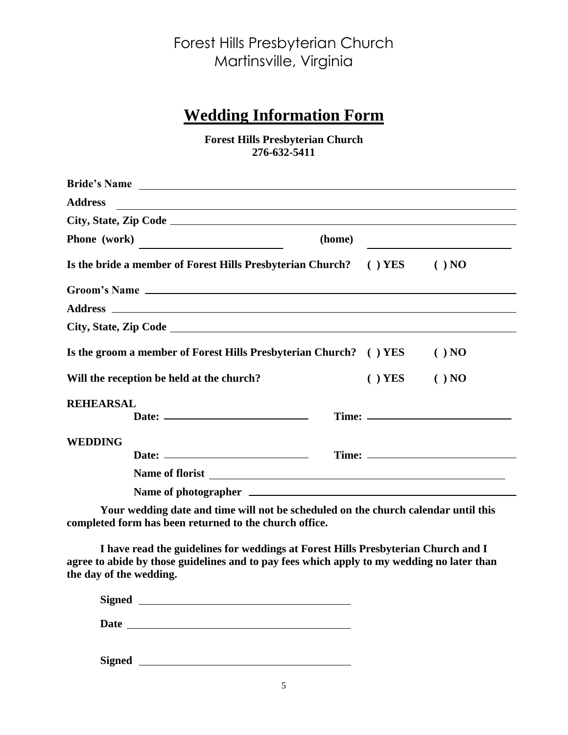### **Wedding Information Form**

**Forest Hills Presbyterian Church 276-632-5411**

| <b>Address</b>      | <u> 1989 - Johann Harry Harry Harry Harry Harry Harry Harry Harry Harry Harry Harry Harry Harry Harry Harry Harry</u> |           |          |
|---------------------|-----------------------------------------------------------------------------------------------------------------------|-----------|----------|
|                     |                                                                                                                       |           |          |
| <b>Phone</b> (work) |                                                                                                                       | (home)    |          |
|                     | Is the bride a member of Forest Hills Presbyterian Church? () YES () NO                                               |           |          |
|                     | Groom's Name                                                                                                          |           |          |
|                     |                                                                                                                       |           |          |
|                     |                                                                                                                       |           |          |
|                     | Is the groom a member of Forest Hills Presbyterian Church? ( ) YES                                                    |           | $( )$ NO |
|                     | Will the reception be held at the church?                                                                             | $( )$ YES | $( )$ NO |
| <b>REHEARSAL</b>    |                                                                                                                       |           |          |
|                     |                                                                                                                       |           |          |
| <b>WEDDING</b>      |                                                                                                                       |           |          |
|                     |                                                                                                                       |           |          |
|                     | Name of florist                                                                                                       |           |          |
|                     |                                                                                                                       |           |          |

**Your wedding date and time will not be scheduled on the church calendar until this completed form has been returned to the church office.**

**I have read the guidelines for weddings at Forest Hills Presbyterian Church and I agree to abide by those guidelines and to pay fees which apply to my wedding no later than the day of the wedding.**

| <b>Signed</b> |  |
|---------------|--|
|               |  |

**Date**

**Signed**